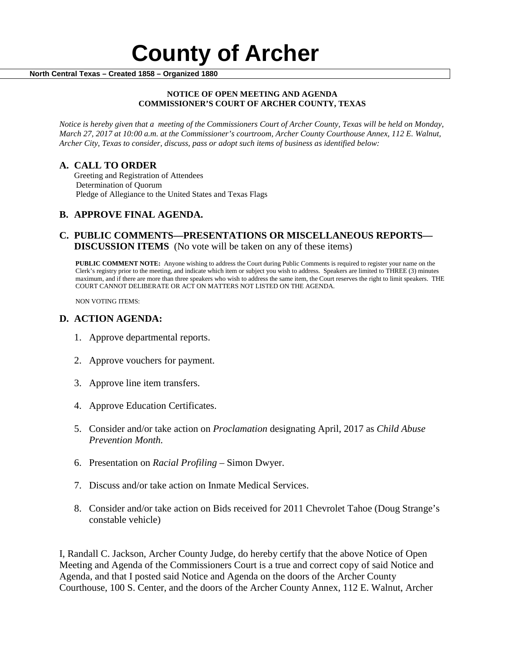#### **NOTICE OF OPEN MEETING AND AGENDA COMMISSIONER'S COURT OF ARCHER COUNTY, TEXAS**

*Notice is hereby given that a meeting of the Commissioners Court of Archer County, Texas will be held on Monday, March 27, 2017 at 10:00 a.m. at the Commissioner's courtroom, Archer County Courthouse Annex, 112 E. Walnut, Archer City, Texas to consider, discuss, pass or adopt such items of business as identified below:*

**A. CALL TO ORDER** Greeting and Registration of Attendees Determination of Quorum Pledge of Allegiance to the United States and Texas Flags

# **B. APPROVE FINAL AGENDA.**

# **C. PUBLIC COMMENTS—PRESENTATIONS OR MISCELLANEOUS REPORTS— DISCUSSION ITEMS** (No vote will be taken on any of these items)

**PUBLIC COMMENT NOTE:** Anyone wishing to address the Court during Public Comments is required to register your name on the Clerk's registry prior to the meeting, and indicate which item or subject you wish to address. Speakers are limited to THREE (3) minutes maximum, and if there are more than three speakers who wish to address the same item, the Court reserves the right to limit speakers. THE COURT CANNOT DELIBERATE OR ACT ON MATTERS NOT LISTED ON THE AGENDA.

NON VOTING ITEMS:

### **D. ACTION AGENDA:**

- 1. Approve departmental reports.
- 2. Approve vouchers for payment.
- 3. Approve line item transfers.
- 4. Approve Education Certificates.
- 5. Consider and/or take action on *Proclamation* designating April, 2017 as *Child Abuse Prevention Month.*
- 6. Presentation on *Racial Profiling*  Simon Dwyer.
- 7. Discuss and/or take action on Inmate Medical Services.
- 8. Consider and/or take action on Bids received for 2011 Chevrolet Tahoe (Doug Strange's constable vehicle)

I, Randall C. Jackson, Archer County Judge, do hereby certify that the above Notice of Open Meeting and Agenda of the Commissioners Court is a true and correct copy of said Notice and Agenda, and that I posted said Notice and Agenda on the doors of the Archer County Courthouse, 100 S. Center, and the doors of the Archer County Annex, 112 E. Walnut, Archer